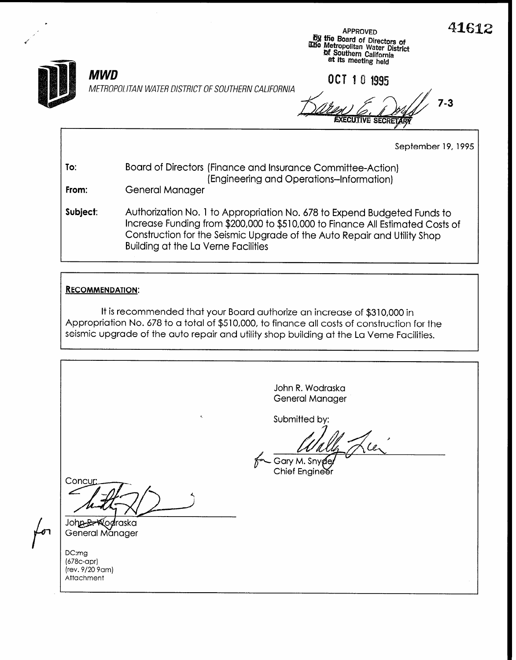

MWD

METROPOLITAN WATER DISTRICT OF SOUTHERN CALIFORNIA

OCT 1 0 1995 7-3 **EXECUTIVE SECRETAR** 

APPROVED by the Board of Directors of Line Metropolitan Water District **Df Southern California**<br>at its meeting held

September 19, 1995

To: Board of Directors (Finance and Insurance Committee-Action) (Engineering and Operations-Information)

From: General Manager

Subject: Authorization No. 1 to Appropriation No. 678 to Expend Budgeted Funds to Increase Funding from \$200,000 to \$510,000 to Finance All Estimated Costs of Construction for the Seismic Upgrade of the Auto Repair and Utility Shop Building at the La Verne Facilities

## RECOMMENDATION:

It is recommended that your Board authorize an increase of \$310,000 in Appropriation No. 678 to a total of \$510,000, to finance all costs of construction for the seismic upgrade of the auto repair and utility shop building at the La Verne Facilities.

John R. Wodraska General Manager Submitted by: Gary M. Snyde Chief Engineer Concur John B-Wodraska General Manager DC:mg  $\nu$ C:rng  $(678c - apr)$ (rev. 9/20 9 am)<br>Attachment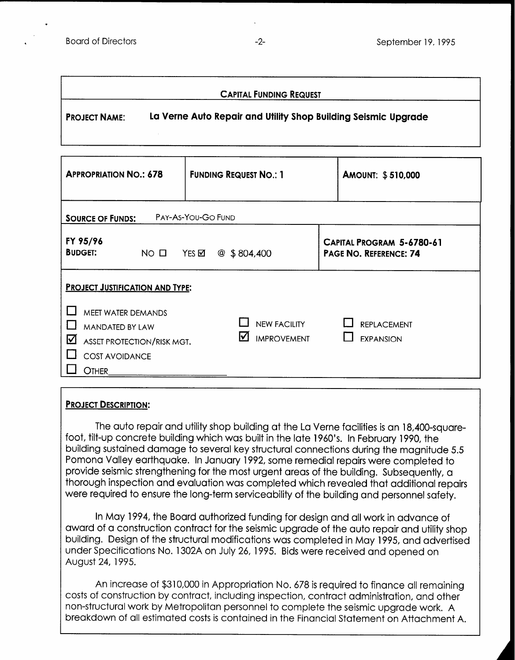|                      | <b>CAPITAL FUNDING REQUEST</b>                                 |  |
|----------------------|----------------------------------------------------------------|--|
| <b>PROJECT NAME:</b> | La Verne Auto Repair and Utility Shop Building Seismic Upgrade |  |
|                      |                                                                |  |

| <b>APPROPRIATION NO.: 678</b>                                                                                                                                      | <b>FUNDING REQUEST NO.: 1</b>                  | <b>AMOUNT: \$510,000</b>                                   |
|--------------------------------------------------------------------------------------------------------------------------------------------------------------------|------------------------------------------------|------------------------------------------------------------|
| <b>SOURCE OF FUNDS:</b>                                                                                                                                            | PAY-AS-YOU-GO FUND                             |                                                            |
| FY 95/96<br><b>BUDGET:</b><br>NO <sub>II</sub>                                                                                                                     | YES <b>⊠</b><br>\$804,400<br>@                 | CAPITAL PROGRAM 5-6780-61<br><b>PAGE NO. REFERENCE: 74</b> |
| <b>PROJECT JUSTIFICATION AND TYPE:</b><br><b>MEET WATER DEMANDS</b><br><b>MANDATED BY LAW</b><br>☑<br>ASSET PROTECTION/RISK MGT.<br><b>COST AVOIDANCE</b><br>OTHER | <b>NEW FACILITY</b><br>M<br><b>IMPROVEMENT</b> | <b>REPLACEMENT</b><br><b>EXPANSION</b>                     |

## PROJECT DESCRIPTION:

The auto repair and utility shop building at the La Verne facilities is an 18,400-squarefoot, tilt-up concrete building which was built in the late 1960's. In February 1990, the building sustained damage to several key structural connections during the magnitude 5.5 Pomona Valley earthquake. In January 1992, some remedial repairs were completed to provide seismic strengthening for the most urgent areas of the building. Subsequently, a thorough inspection and evaluation was completed which revealed that additional repairs were required to ensure the long-term serviceability of the building and personnel safety.

In May 1994, the Board authorized funding for design and all work in advance of award of a construction contract for the seismic upgrade of the auto repair and utility shop building. Design of the structural modifications was completed in May 1995, and advertised under Specifications No. 1302A on July 26, 1995. Bids were received and opened on August 24, 1995.

An increase of \$310,000 in Appropriation No. 678 is required to finance all remaining costs of construction by contract, including inspection, contract administration, and other non-structural work by Metropolitan personnel to complete the seismic upgrade work. A breakdown of all estimated costs is contained in the Financial Statement on Attachment A.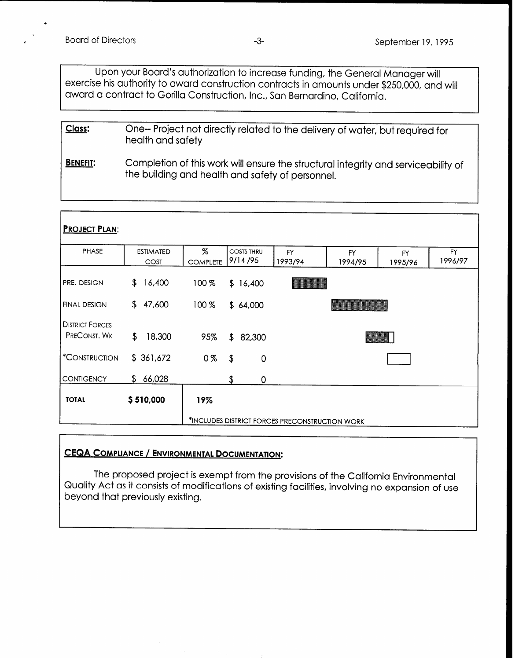Upon your Board's authorization to increase funding, the General Manager will exercise his authority to award construction contracts in amounts under \$250,000, and will award a contract to Gorilla Construction, Inc., San Bernardino, California.

Class: One- Project not directly related to the delivery of water, but required for health and safety **BENEFIT:** Completion of this work will ensure the structural integrity and serviceability of the building and health and safety of personnel.

| <b>PROJECT PLAN:</b>                   |                          |                                                |                              |                      |                      |                      |               |
|----------------------------------------|--------------------------|------------------------------------------------|------------------------------|----------------------|----------------------|----------------------|---------------|
| PHASE                                  | <b>ESTIMATED</b><br>COST | %<br><b>COMPLETE</b>                           | <b>COSTS THRU</b><br>9/14/95 | <b>FY</b><br>1993/94 | <b>FY</b><br>1994/95 | <b>FY</b><br>1995/96 | FY<br>1996/97 |
| PRE. DESIGN                            | \$16,400                 | $100\%$                                        | \$16,400                     |                      |                      |                      |               |
| <b>FINAL DESIGN</b>                    | \$47,600                 | $100\%$                                        | \$64,000                     |                      |                      |                      |               |
| <b>DISTRICT FORCES</b><br>PRECONST. WK | \$<br>18,300             | 95%                                            | \$82,300                     |                      |                      |                      |               |
| *CONSTRUCTION                          | \$361,672                | $0\%$                                          | $\frac{1}{2}$<br>$\mathbf 0$ |                      |                      |                      |               |
| <b>CONTIGENCY</b>                      | 66,028<br>\$.            |                                                | \$<br>$\mathbf 0$            |                      |                      |                      |               |
| <b>TOTAL</b>                           | \$510,000                | 19%                                            |                              |                      |                      |                      |               |
|                                        |                          | *INCLUDES DISTRICT FORCES PRECONSTRUCTION WORK |                              |                      |                      |                      |               |

## CEQA COMPLIANCE / ENVIRONMENTAL DOCUMENTATION:

The proposed project is exempt from the provisions of the California Environmental Quality Act as it consists of modifications of existing facilities, involving no expansion of use beyond that previously existing.